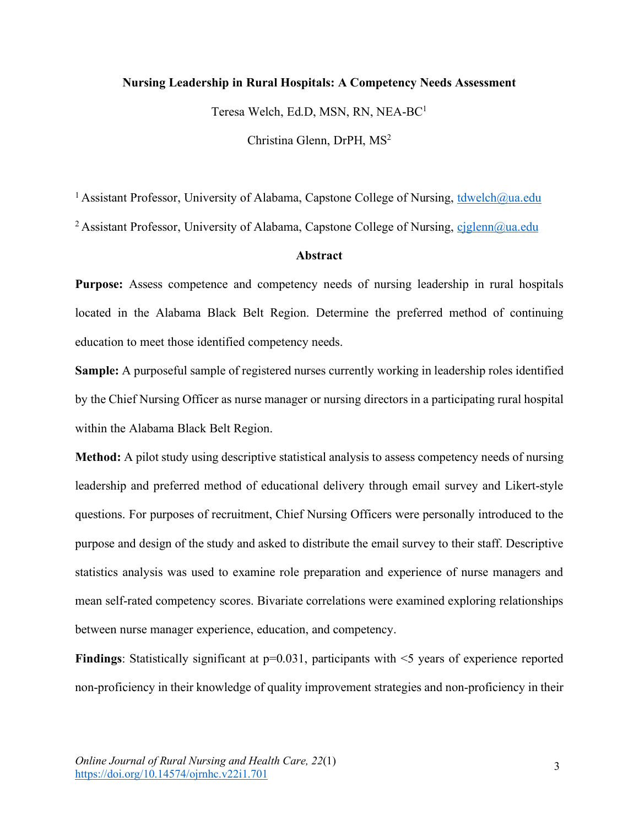# **Nursing Leadership in Rural Hospitals: A Competency Needs Assessment**

Teresa Welch, Ed.D, MSN, RN, NEA-BC1

Christina Glenn, DrPH, MS2

<sup>1</sup> Assistant Professor, University of Alabama, Capstone College of Nursing, tdwelch@ua.edu

<sup>2</sup> Assistant Professor, University of Alabama, Capstone College of Nursing, cjglenn@ua.edu

#### **Abstract**

**Purpose:** Assess competence and competency needs of nursing leadership in rural hospitals located in the Alabama Black Belt Region. Determine the preferred method of continuing education to meet those identified competency needs.

**Sample:** A purposeful sample of registered nurses currently working in leadership roles identified by the Chief Nursing Officer as nurse manager or nursing directors in a participating rural hospital within the Alabama Black Belt Region.

**Method:** A pilot study using descriptive statistical analysis to assess competency needs of nursing leadership and preferred method of educational delivery through email survey and Likert-style questions. For purposes of recruitment, Chief Nursing Officers were personally introduced to the purpose and design of the study and asked to distribute the email survey to their staff. Descriptive statistics analysis was used to examine role preparation and experience of nurse managers and mean self-rated competency scores. Bivariate correlations were examined exploring relationships between nurse manager experience, education, and competency.

**Findings**: Statistically significant at  $p=0.031$ , participants with  $\leq$  years of experience reported non-proficiency in their knowledge of quality improvement strategies and non-proficiency in their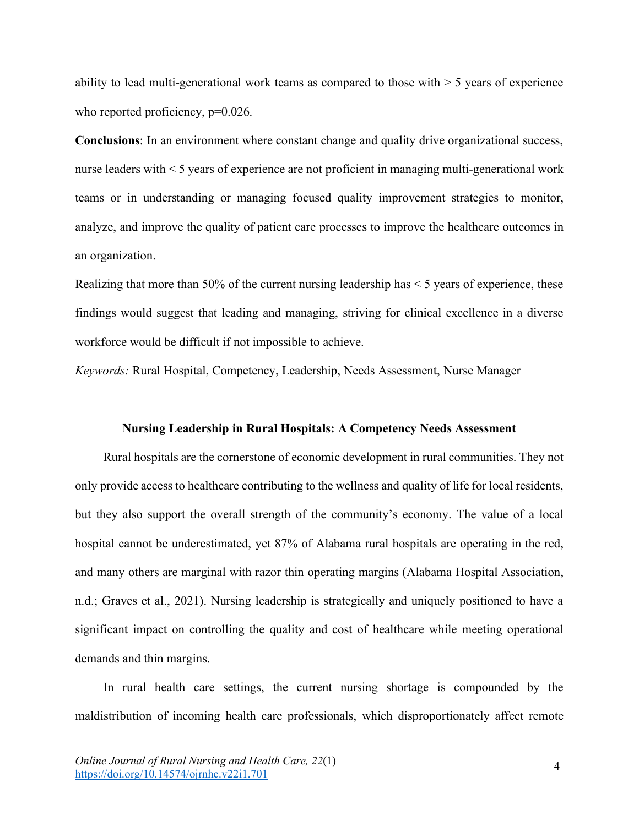ability to lead multi-generational work teams as compared to those with  $>$  5 years of experience who reported proficiency,  $p=0.026$ .

**Conclusions**: In an environment where constant change and quality drive organizational success, nurse leaders with < 5 years of experience are not proficient in managing multi-generational work teams or in understanding or managing focused quality improvement strategies to monitor, analyze, and improve the quality of patient care processes to improve the healthcare outcomes in an organization.

Realizing that more than 50% of the current nursing leadership has < 5 years of experience, these findings would suggest that leading and managing, striving for clinical excellence in a diverse workforce would be difficult if not impossible to achieve.

*Keywords:* Rural Hospital, Competency, Leadership, Needs Assessment, Nurse Manager

#### **Nursing Leadership in Rural Hospitals: A Competency Needs Assessment**

Rural hospitals are the cornerstone of economic development in rural communities. They not only provide access to healthcare contributing to the wellness and quality of life for local residents, but they also support the overall strength of the community's economy. The value of a local hospital cannot be underestimated, yet 87% of Alabama rural hospitals are operating in the red, and many others are marginal with razor thin operating margins (Alabama Hospital Association, n.d.; Graves et al., 2021). Nursing leadership is strategically and uniquely positioned to have a significant impact on controlling the quality and cost of healthcare while meeting operational demands and thin margins.

In rural health care settings, the current nursing shortage is compounded by the maldistribution of incoming health care professionals, which disproportionately affect remote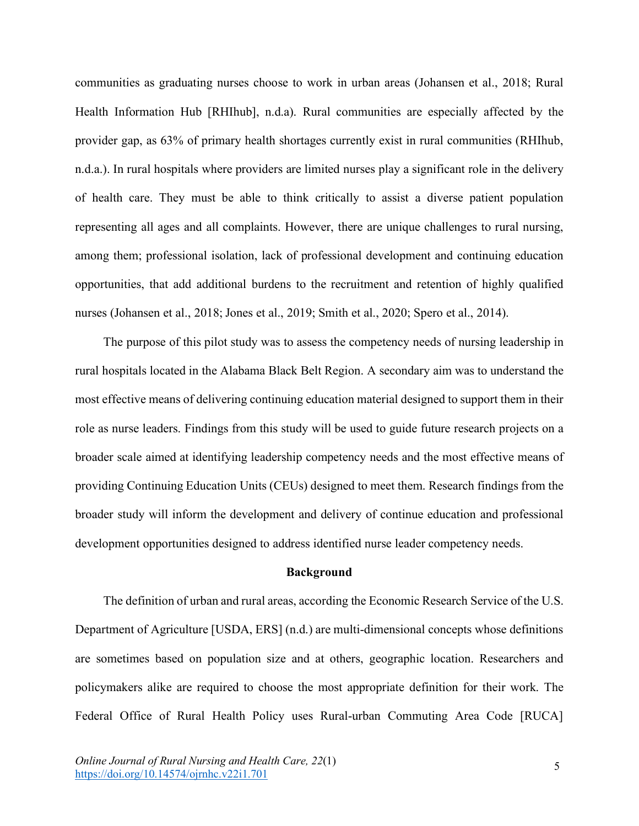communities as graduating nurses choose to work in urban areas (Johansen et al., 2018; Rural Health Information Hub [RHIhub], n.d.a). Rural communities are especially affected by the provider gap, as 63% of primary health shortages currently exist in rural communities (RHIhub, n.d.a.). In rural hospitals where providers are limited nurses play a significant role in the delivery of health care. They must be able to think critically to assist a diverse patient population representing all ages and all complaints. However, there are unique challenges to rural nursing, among them; professional isolation, lack of professional development and continuing education opportunities, that add additional burdens to the recruitment and retention of highly qualified nurses (Johansen et al., 2018; Jones et al., 2019; Smith et al., 2020; Spero et al., 2014).

The purpose of this pilot study was to assess the competency needs of nursing leadership in rural hospitals located in the Alabama Black Belt Region. A secondary aim was to understand the most effective means of delivering continuing education material designed to support them in their role as nurse leaders. Findings from this study will be used to guide future research projects on a broader scale aimed at identifying leadership competency needs and the most effective means of providing Continuing Education Units (CEUs) designed to meet them. Research findings from the broader study will inform the development and delivery of continue education and professional development opportunities designed to address identified nurse leader competency needs.

#### **Background**

The definition of urban and rural areas, according the Economic Research Service of the U.S. Department of Agriculture [USDA, ERS] (n.d.) are multi-dimensional concepts whose definitions are sometimes based on population size and at others, geographic location. Researchers and policymakers alike are required to choose the most appropriate definition for their work. The Federal Office of Rural Health Policy uses Rural-urban Commuting Area Code [RUCA]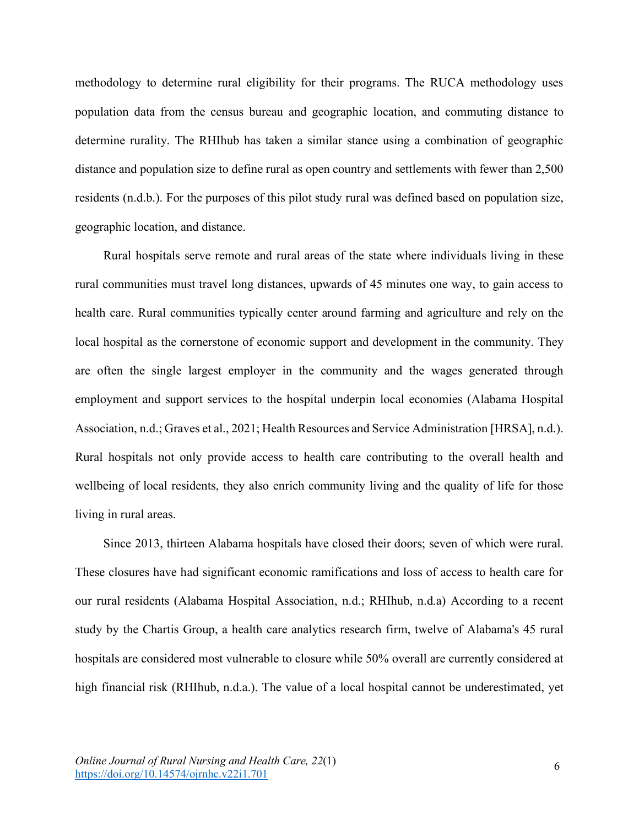methodology to determine rural eligibility for their programs. The RUCA methodology uses population data from the census bureau and geographic location, and commuting distance to determine rurality. The RHIhub has taken a similar stance using a combination of geographic distance and population size to define rural as open country and settlements with fewer than 2,500 residents (n.d.b.). For the purposes of this pilot study rural was defined based on population size, geographic location, and distance.

Rural hospitals serve remote and rural areas of the state where individuals living in these rural communities must travel long distances, upwards of 45 minutes one way, to gain access to health care. Rural communities typically center around farming and agriculture and rely on the local hospital as the cornerstone of economic support and development in the community. They are often the single largest employer in the community and the wages generated through employment and support services to the hospital underpin local economies (Alabama Hospital Association, n.d.; Graves et al., 2021; Health Resources and Service Administration [HRSA], n.d.). Rural hospitals not only provide access to health care contributing to the overall health and wellbeing of local residents, they also enrich community living and the quality of life for those living in rural areas.

Since 2013, thirteen Alabama hospitals have closed their doors; seven of which were rural. These closures have had significant economic ramifications and loss of access to health care for our rural residents (Alabama Hospital Association, n.d.; RHIhub, n.d.a) According to a recent study by the Chartis Group, a health care analytics research firm, twelve of Alabama's 45 rural hospitals are considered most vulnerable to closure while 50% overall are currently considered at high financial risk (RHIhub, n.d.a.). The value of a local hospital cannot be underestimated, yet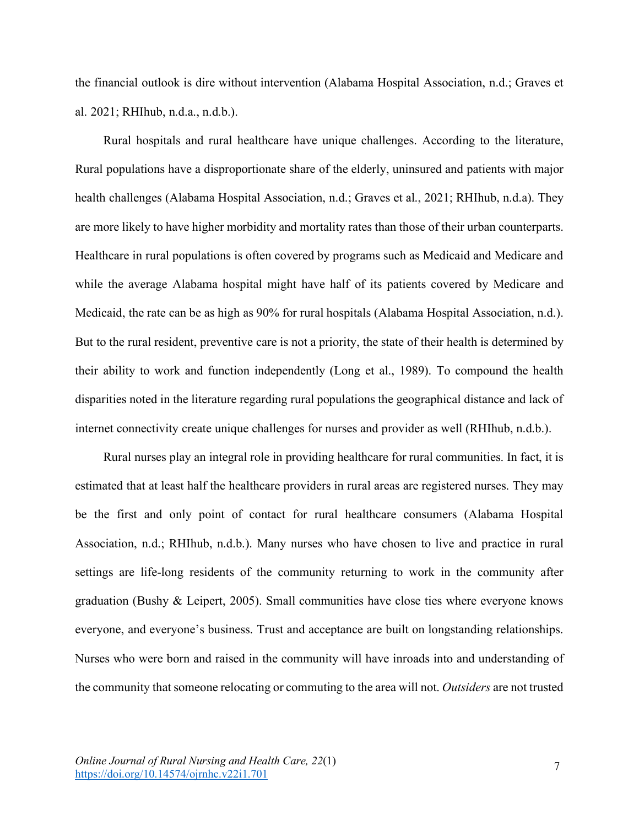the financial outlook is dire without intervention (Alabama Hospital Association, n.d.; Graves et al. 2021; RHIhub, n.d.a., n.d.b.).

Rural hospitals and rural healthcare have unique challenges. According to the literature, Rural populations have a disproportionate share of the elderly, uninsured and patients with major health challenges (Alabama Hospital Association, n.d.; Graves et al., 2021; RHIhub, n.d.a). They are more likely to have higher morbidity and mortality rates than those of their urban counterparts. Healthcare in rural populations is often covered by programs such as Medicaid and Medicare and while the average Alabama hospital might have half of its patients covered by Medicare and Medicaid, the rate can be as high as 90% for rural hospitals (Alabama Hospital Association, n.d.). But to the rural resident, preventive care is not a priority, the state of their health is determined by their ability to work and function independently (Long et al., 1989). To compound the health disparities noted in the literature regarding rural populations the geographical distance and lack of internet connectivity create unique challenges for nurses and provider as well (RHIhub, n.d.b.).

Rural nurses play an integral role in providing healthcare for rural communities. In fact, it is estimated that at least half the healthcare providers in rural areas are registered nurses. They may be the first and only point of contact for rural healthcare consumers (Alabama Hospital Association, n.d.; RHIhub, n.d.b.). Many nurses who have chosen to live and practice in rural settings are life-long residents of the community returning to work in the community after graduation (Bushy & Leipert, 2005). Small communities have close ties where everyone knows everyone, and everyone's business. Trust and acceptance are built on longstanding relationships. Nurses who were born and raised in the community will have inroads into and understanding of the community that someone relocating or commuting to the area will not. *Outsiders* are not trusted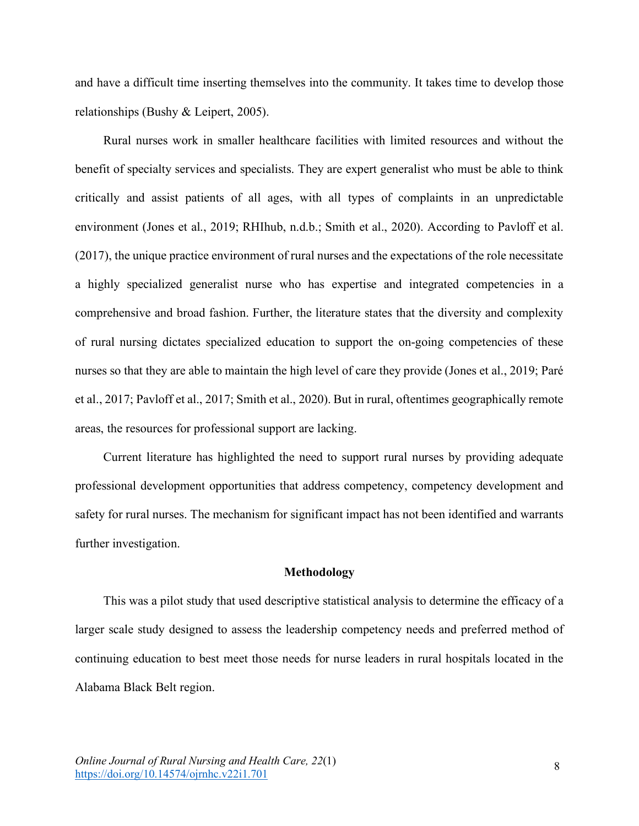and have a difficult time inserting themselves into the community. It takes time to develop those relationships (Bushy & Leipert, 2005).

Rural nurses work in smaller healthcare facilities with limited resources and without the benefit of specialty services and specialists. They are expert generalist who must be able to think critically and assist patients of all ages, with all types of complaints in an unpredictable environment (Jones et al., 2019; RHIhub, n.d.b.; Smith et al., 2020). According to Pavloff et al. (2017), the unique practice environment of rural nurses and the expectations of the role necessitate a highly specialized generalist nurse who has expertise and integrated competencies in a comprehensive and broad fashion. Further, the literature states that the diversity and complexity of rural nursing dictates specialized education to support the on-going competencies of these nurses so that they are able to maintain the high level of care they provide (Jones et al., 2019; Paré et al., 2017; Pavloff et al., 2017; Smith et al., 2020). But in rural, oftentimes geographically remote areas, the resources for professional support are lacking.

Current literature has highlighted the need to support rural nurses by providing adequate professional development opportunities that address competency, competency development and safety for rural nurses. The mechanism for significant impact has not been identified and warrants further investigation.

### **Methodology**

This was a pilot study that used descriptive statistical analysis to determine the efficacy of a larger scale study designed to assess the leadership competency needs and preferred method of continuing education to best meet those needs for nurse leaders in rural hospitals located in the Alabama Black Belt region.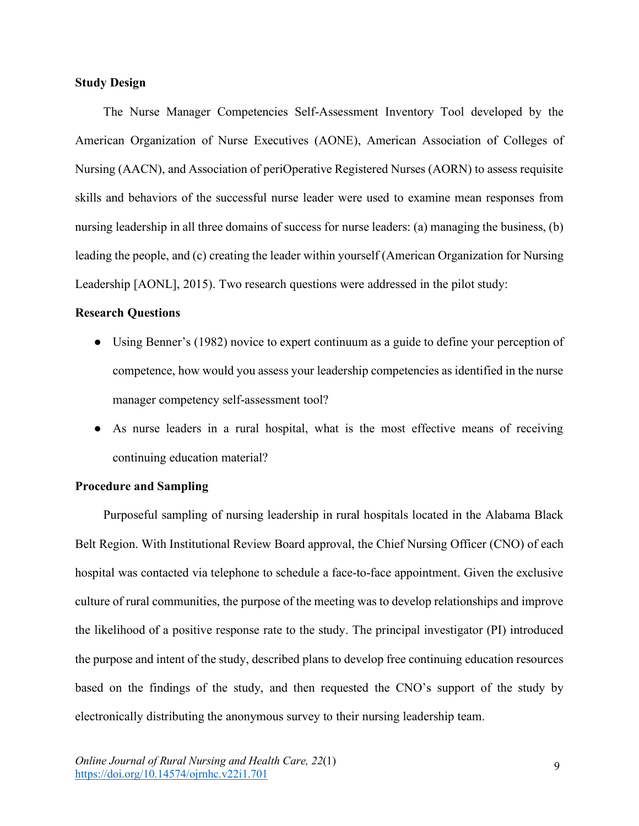# **Study Design**

The Nurse Manager Competencies Self-Assessment Inventory Tool developed by the American Organization of Nurse Executives (AONE), American Association of Colleges of Nursing (AACN), and Association of periOperative Registered Nurses (AORN) to assess requisite skills and behaviors of the successful nurse leader were used to examine mean responses from nursing leadership in all three domains of success for nurse leaders: (a) managing the business, (b) leading the people, and (c) creating the leader within yourself (American Organization for Nursing Leadership [AONL], 2015). Two research questions were addressed in the pilot study:

## **Research Questions**

- Using Benner's (1982) novice to expert continuum as a guide to define your perception of competence, how would you assess your leadership competencies as identified in the nurse manager competency self-assessment tool?
- As nurse leaders in a rural hospital, what is the most effective means of receiving continuing education material?

## **Procedure and Sampling**

Purposeful sampling of nursing leadership in rural hospitals located in the Alabama Black Belt Region. With Institutional Review Board approval, the Chief Nursing Officer (CNO) of each hospital was contacted via telephone to schedule a face-to-face appointment. Given the exclusive culture of rural communities, the purpose of the meeting was to develop relationships and improve the likelihood of a positive response rate to the study. The principal investigator (PI) introduced the purpose and intent of the study, described plans to develop free continuing education resources based on the findings of the study, and then requested the CNO's support of the study by electronically distributing the anonymous survey to their nursing leadership team.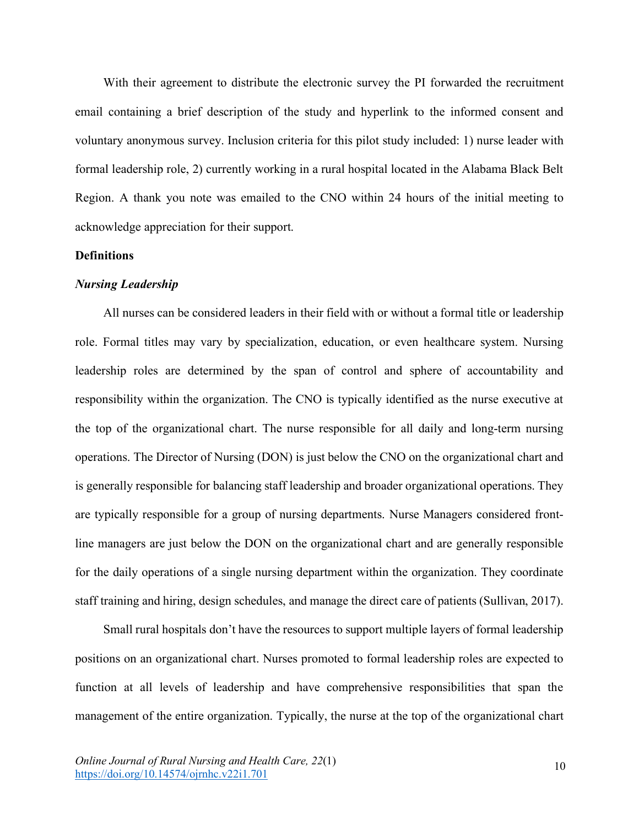With their agreement to distribute the electronic survey the PI forwarded the recruitment email containing a brief description of the study and hyperlink to the informed consent and voluntary anonymous survey. Inclusion criteria for this pilot study included: 1) nurse leader with formal leadership role, 2) currently working in a rural hospital located in the Alabama Black Belt Region. A thank you note was emailed to the CNO within 24 hours of the initial meeting to acknowledge appreciation for their support.

# **Definitions**

## *Nursing Leadership*

All nurses can be considered leaders in their field with or without a formal title or leadership role. Formal titles may vary by specialization, education, or even healthcare system. Nursing leadership roles are determined by the span of control and sphere of accountability and responsibility within the organization. The CNO is typically identified as the nurse executive at the top of the organizational chart. The nurse responsible for all daily and long-term nursing operations. The Director of Nursing (DON) is just below the CNO on the organizational chart and is generally responsible for balancing staff leadership and broader organizational operations. They are typically responsible for a group of nursing departments. Nurse Managers considered frontline managers are just below the DON on the organizational chart and are generally responsible for the daily operations of a single nursing department within the organization. They coordinate staff training and hiring, design schedules, and manage the direct care of patients (Sullivan, 2017).

Small rural hospitals don't have the resources to support multiple layers of formal leadership positions on an organizational chart. Nurses promoted to formal leadership roles are expected to function at all levels of leadership and have comprehensive responsibilities that span the management of the entire organization. Typically, the nurse at the top of the organizational chart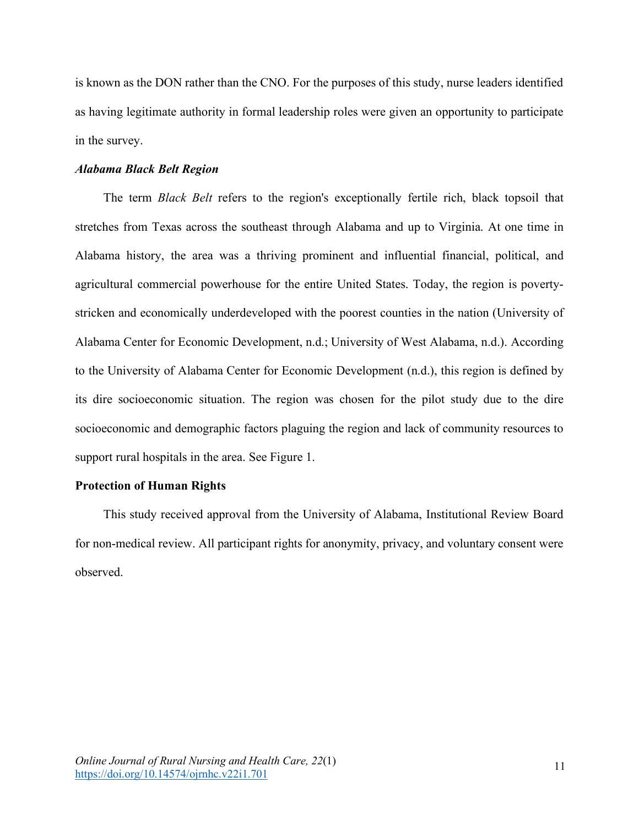is known as the DON rather than the CNO. For the purposes of this study, nurse leaders identified as having legitimate authority in formal leadership roles were given an opportunity to participate in the survey.

## *Alabama Black Belt Region*

The term *Black Belt* refers to the region's exceptionally fertile rich, black topsoil that stretches from Texas across the southeast through Alabama and up to Virginia. At one time in Alabama history, the area was a thriving prominent and influential financial, political, and agricultural commercial powerhouse for the entire United States. Today, the region is povertystricken and economically underdeveloped with the poorest counties in the nation (University of Alabama Center for Economic Development, n.d.; University of West Alabama, n.d.). According to the University of Alabama Center for Economic Development (n.d.), this region is defined by its dire socioeconomic situation. The region was chosen for the pilot study due to the dire socioeconomic and demographic factors plaguing the region and lack of community resources to support rural hospitals in the area. See Figure 1.

## **Protection of Human Rights**

This study received approval from the University of Alabama, Institutional Review Board for non-medical review. All participant rights for anonymity, privacy, and voluntary consent were observed.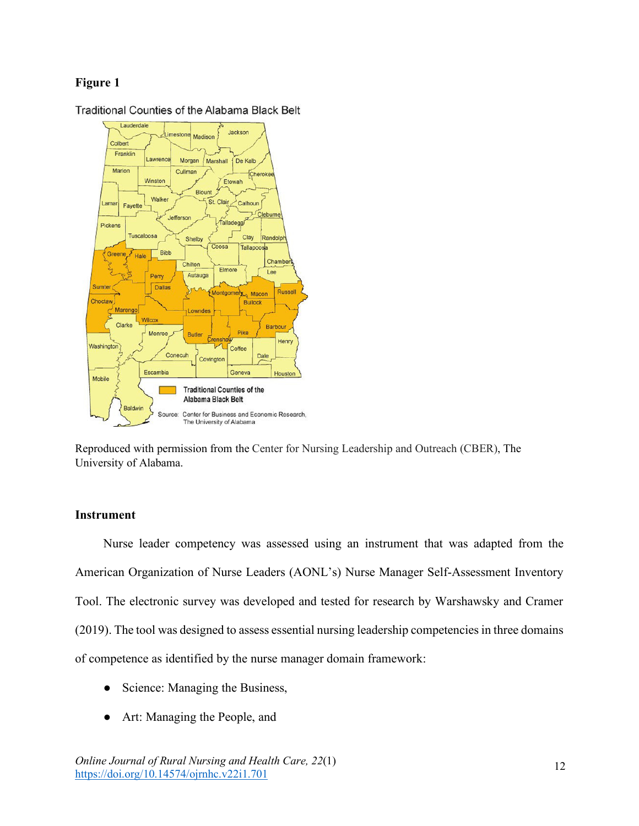# **Figure 1**



Traditional Counties of the Alabama Black Belt

Reproduced with permission from the Center for Nursing Leadership and Outreach (CBER), The University of Alabama.

# **Instrument**

Nurse leader competency was assessed using an instrument that was adapted from the American Organization of Nurse Leaders (AONL's) Nurse Manager Self-Assessment Inventory Tool. The electronic survey was developed and tested for research by Warshawsky and Cramer (2019). The tool was designed to assess essential nursing leadership competencies in three domains of competence as identified by the nurse manager domain framework:

- Science: Managing the Business,
- Art: Managing the People, and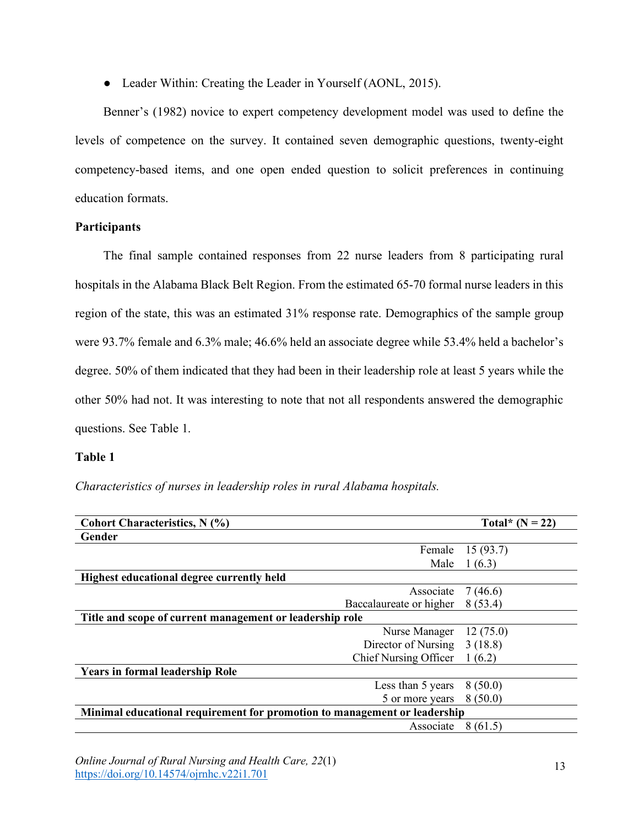• Leader Within: Creating the Leader in Yourself (AONL, 2015).

Benner's (1982) novice to expert competency development model was used to define the levels of competence on the survey. It contained seven demographic questions, twenty-eight competency-based items, and one open ended question to solicit preferences in continuing education formats.

# **Participants**

The final sample contained responses from 22 nurse leaders from 8 participating rural hospitals in the Alabama Black Belt Region. From the estimated 65-70 formal nurse leaders in this region of the state, this was an estimated 31% response rate. Demographics of the sample group were 93.7% female and 6.3% male; 46.6% held an associate degree while 53.4% held a bachelor's degree. 50% of them indicated that they had been in their leadership role at least 5 years while the other 50% had not. It was interesting to note that not all respondents answered the demographic questions. See Table 1.

# **Table 1**

| <b>Cohort Characteristics, N (%)</b>                                      | Total* $(N = 22)$            |          |  |  |
|---------------------------------------------------------------------------|------------------------------|----------|--|--|
| Gender                                                                    |                              |          |  |  |
|                                                                           | Female                       | 15(93.7) |  |  |
|                                                                           | Male                         | 1(6.3)   |  |  |
| Highest educational degree currently held                                 |                              |          |  |  |
|                                                                           | Associate                    | 7(46.6)  |  |  |
|                                                                           | Baccalaureate or higher      | 8(53.4)  |  |  |
| Title and scope of current management or leadership role                  |                              |          |  |  |
|                                                                           | Nurse Manager                | 12(75.0) |  |  |
|                                                                           | Director of Nursing          | 3(18.8)  |  |  |
|                                                                           | <b>Chief Nursing Officer</b> | 1(6.2)   |  |  |
| <b>Years in formal leadership Role</b>                                    |                              |          |  |  |
|                                                                           | Less than 5 years            | 8(50.0)  |  |  |
|                                                                           | 5 or more years              | 8(50.0)  |  |  |
| Minimal educational requirement for promotion to management or leadership |                              |          |  |  |
|                                                                           | Associate                    | 8(61.5)  |  |  |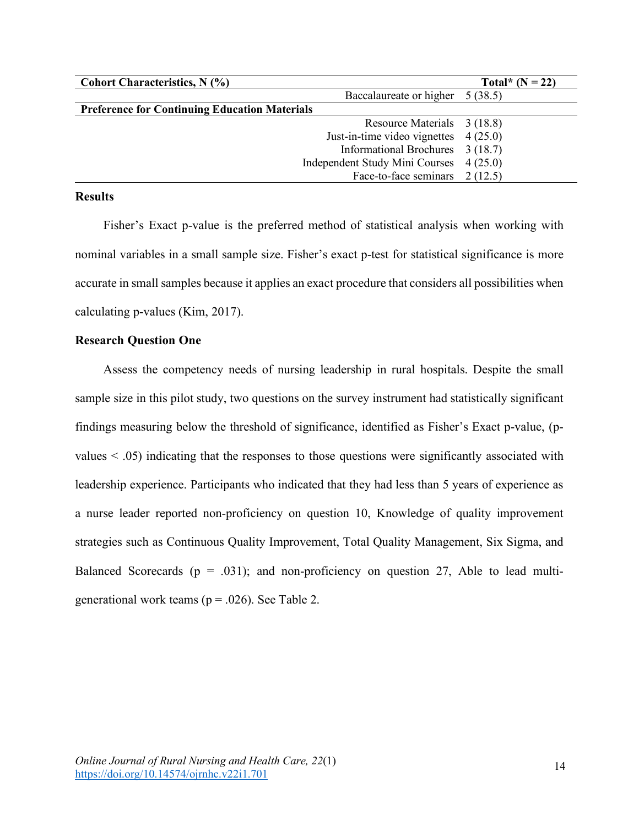| Cohort Characteristics, N (%)                        | Total* $(N = 22)$ |
|------------------------------------------------------|-------------------|
| Baccalaureate or higher                              | 5(38.5)           |
| <b>Preference for Continuing Education Materials</b> |                   |
| Resource Materials 3 (18.8)                          |                   |
| Just-in-time video vignettes                         | 4(25.0)           |
| Informational Brochures 3 (18.7)                     |                   |
| Independent Study Mini Courses                       | 4(25.0)           |
| Face-to-face seminars                                | 2(12.5)           |

# **Results**

Fisher's Exact p-value is the preferred method of statistical analysis when working with nominal variables in a small sample size. Fisher's exact p-test for statistical significance is more accurate in small samples because it applies an exact procedure that considers all possibilities when calculating p-values (Kim, 2017).

# **Research Question One**

Assess the competency needs of nursing leadership in rural hospitals. Despite the small sample size in this pilot study, two questions on the survey instrument had statistically significant findings measuring below the threshold of significance, identified as Fisher's Exact p-value, (pvalues < .05) indicating that the responses to those questions were significantly associated with leadership experience. Participants who indicated that they had less than 5 years of experience as a nurse leader reported non-proficiency on question 10, Knowledge of quality improvement strategies such as Continuous Quality Improvement, Total Quality Management, Six Sigma, and Balanced Scorecards ( $p = .031$ ); and non-proficiency on question 27, Able to lead multigenerational work teams ( $p = .026$ ). See Table 2.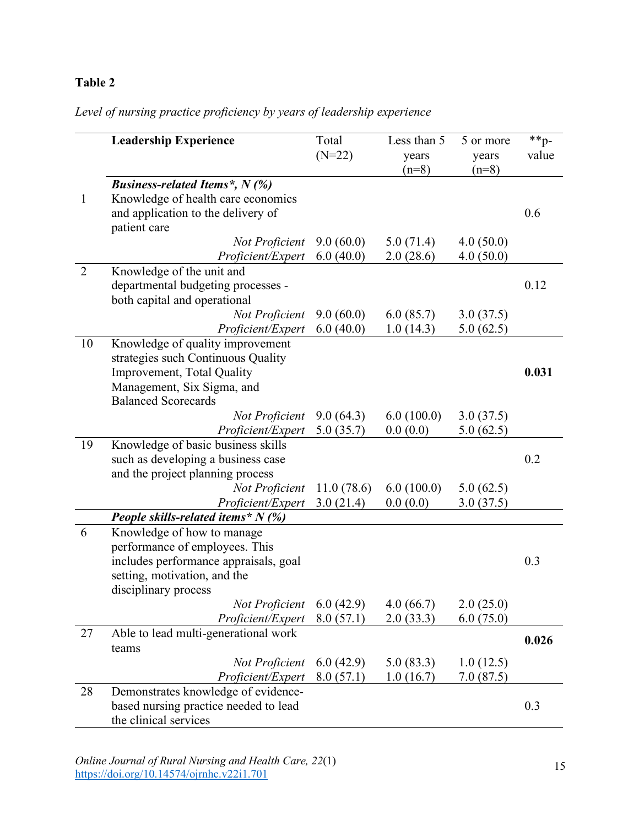# **Table 2**

# *Level of nursing practice proficiency by years of leadership experience*

|                | <b>Leadership Experience</b>                         | Total<br>$(N=22)$ | Less than 5<br>years<br>$(n=8)$ | 5 or more<br>years<br>$(n=8)$ | $*$ $p-$<br>value |
|----------------|------------------------------------------------------|-------------------|---------------------------------|-------------------------------|-------------------|
|                | <b>Business-related Items</b> <sup>*</sup> , $N$ (%) |                   |                                 |                               |                   |
| $\mathbf{1}$   | Knowledge of health care economics                   |                   |                                 |                               |                   |
|                | and application to the delivery of                   |                   |                                 |                               | 0.6               |
|                | patient care                                         |                   |                                 |                               |                   |
|                | Not Proficient                                       | 9.0(60.0)         | 5.0(71.4)                       | 4.0(50.0)                     |                   |
|                | Proficient/Expert                                    | 6.0(40.0)         | 2.0(28.6)                       | 4.0(50.0)                     |                   |
| $\overline{2}$ | Knowledge of the unit and                            |                   |                                 |                               |                   |
|                | departmental budgeting processes -                   |                   |                                 |                               | 0.12              |
|                | both capital and operational                         |                   |                                 |                               |                   |
|                | Not Proficient                                       | 9.0(60.0)         | 6.0(85.7)                       | 3.0(37.5)                     |                   |
|                | Proficient/Expert                                    | 6.0(40.0)         | 1.0(14.3)                       | 5.0(62.5)                     |                   |
| 10             | Knowledge of quality improvement                     |                   |                                 |                               |                   |
|                | strategies such Continuous Quality                   |                   |                                 |                               |                   |
|                | Improvement, Total Quality                           |                   |                                 |                               | 0.031             |
|                | Management, Six Sigma, and                           |                   |                                 |                               |                   |
|                | <b>Balanced Scorecards</b>                           |                   |                                 |                               |                   |
|                | Not Proficient                                       | 9.0(64.3)         | 6.0(100.0)                      | 3.0(37.5)                     |                   |
|                | Proficient/Expert                                    | 5.0(35.7)         | 0.0(0.0)                        | 5.0(62.5)                     |                   |
| 19             | Knowledge of basic business skills                   |                   |                                 |                               |                   |
|                | such as developing a business case                   |                   |                                 |                               | 0.2               |
|                | and the project planning process                     |                   |                                 |                               |                   |
|                | Not Proficient                                       | 11.0(78.6)        | 6.0(100.0)                      | 5.0(62.5)                     |                   |
|                | Proficient/Expert                                    | 3.0(21.4)         | 0.0(0.0)                        | 3.0(37.5)                     |                   |
|                | People skills-related items* $N$ (%)                 |                   |                                 |                               |                   |
| 6              | Knowledge of how to manage                           |                   |                                 |                               |                   |
|                | performance of employees. This                       |                   |                                 |                               |                   |
|                | includes performance appraisals, goal                |                   |                                 |                               | 0.3               |
|                | setting, motivation, and the                         |                   |                                 |                               |                   |
|                | disciplinary process                                 |                   |                                 |                               |                   |
|                | Not Proficient                                       | 6.0(42.9)         | 4.0(66.7)                       | 2.0(25.0)                     |                   |
|                | Proficient/Expert                                    | 8.0(57.1)         | 2.0(33.3)                       | 6.0(75.0)                     |                   |
| 27             | Able to lead multi-generational work                 |                   |                                 |                               | 0.026             |
|                | teams                                                |                   |                                 |                               |                   |
|                | Not Proficient                                       | 6.0(42.9)         | 5.0(83.3)                       | 1.0(12.5)                     |                   |
|                | Proficient/Expert                                    | 8.0(57.1)         | 1.0(16.7)                       | 7.0(87.5)                     |                   |
| 28             | Demonstrates knowledge of evidence-                  |                   |                                 |                               |                   |
|                | based nursing practice needed to lead                |                   |                                 |                               | 0.3               |
|                | the clinical services                                |                   |                                 |                               |                   |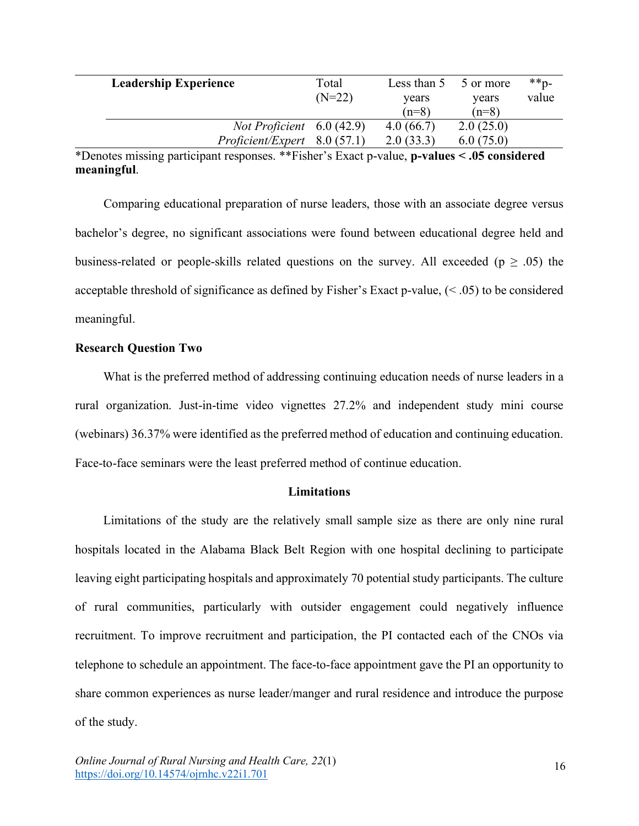| <b>Leadership Experience</b> |                                    | Total    | Less than 5 | 5 or more | $*$ $p-$ |
|------------------------------|------------------------------------|----------|-------------|-----------|----------|
|                              |                                    | $(N=22)$ | vears       | years     | value    |
|                              |                                    |          | $(n=8)$     | $(n=8)$   |          |
|                              | <i>Not Proficient</i> $6.0$ (42.9) |          | 4.0(66.7)   | 2.0(25.0) |          |
|                              | Profit/Expert 8.0 (57.1)           |          | 2.0(33.3)   | 6.0(75.0) |          |

\*Denotes missing participant responses. \*\*Fisher's Exact p-value, **p-values < .05 considered meaningful**.

Comparing educational preparation of nurse leaders, those with an associate degree versus bachelor's degree, no significant associations were found between educational degree held and business-related or people-skills related questions on the survey. All exceeded ( $p \geq .05$ ) the acceptable threshold of significance as defined by Fisher's Exact p-value, (< .05) to be considered meaningful.

## **Research Question Two**

What is the preferred method of addressing continuing education needs of nurse leaders in a rural organization. Just-in-time video vignettes 27.2% and independent study mini course (webinars) 36.37% were identified as the preferred method of education and continuing education. Face-to-face seminars were the least preferred method of continue education.

#### **Limitations**

Limitations of the study are the relatively small sample size as there are only nine rural hospitals located in the Alabama Black Belt Region with one hospital declining to participate leaving eight participating hospitals and approximately 70 potential study participants. The culture of rural communities, particularly with outsider engagement could negatively influence recruitment. To improve recruitment and participation, the PI contacted each of the CNOs via telephone to schedule an appointment. The face-to-face appointment gave the PI an opportunity to share common experiences as nurse leader/manger and rural residence and introduce the purpose of the study.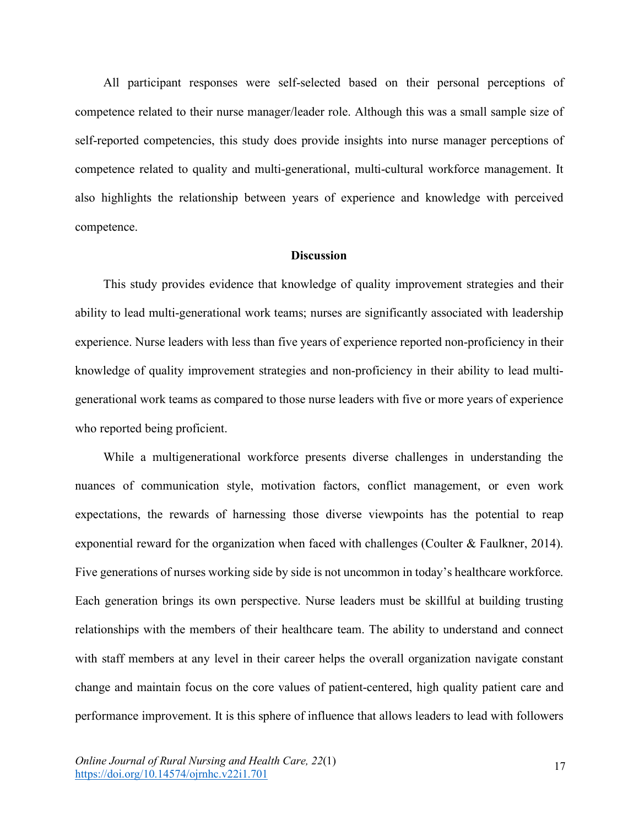All participant responses were self-selected based on their personal perceptions of competence related to their nurse manager/leader role. Although this was a small sample size of self-reported competencies, this study does provide insights into nurse manager perceptions of competence related to quality and multi-generational, multi-cultural workforce management. It also highlights the relationship between years of experience and knowledge with perceived competence.

### **Discussion**

This study provides evidence that knowledge of quality improvement strategies and their ability to lead multi-generational work teams; nurses are significantly associated with leadership experience. Nurse leaders with less than five years of experience reported non-proficiency in their knowledge of quality improvement strategies and non-proficiency in their ability to lead multigenerational work teams as compared to those nurse leaders with five or more years of experience who reported being proficient.

While a multigenerational workforce presents diverse challenges in understanding the nuances of communication style, motivation factors, conflict management, or even work expectations, the rewards of harnessing those diverse viewpoints has the potential to reap exponential reward for the organization when faced with challenges (Coulter & Faulkner, 2014). Five generations of nurses working side by side is not uncommon in today's healthcare workforce. Each generation brings its own perspective. Nurse leaders must be skillful at building trusting relationships with the members of their healthcare team. The ability to understand and connect with staff members at any level in their career helps the overall organization navigate constant change and maintain focus on the core values of patient-centered, high quality patient care and performance improvement. It is this sphere of influence that allows leaders to lead with followers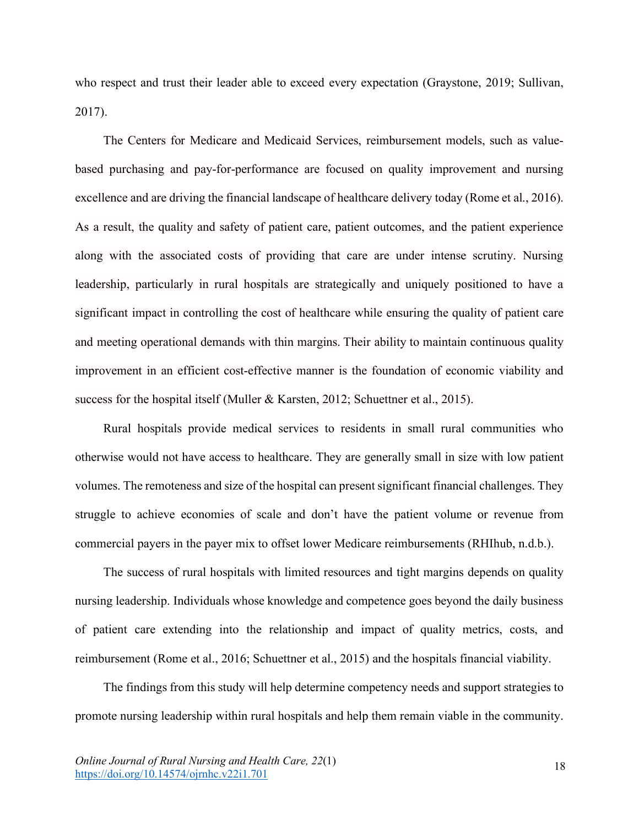who respect and trust their leader able to exceed every expectation (Graystone, 2019; Sullivan, 2017).

The Centers for Medicare and Medicaid Services, reimbursement models, such as valuebased purchasing and pay-for-performance are focused on quality improvement and nursing excellence and are driving the financial landscape of healthcare delivery today (Rome et al., 2016). As a result, the quality and safety of patient care, patient outcomes, and the patient experience along with the associated costs of providing that care are under intense scrutiny. Nursing leadership, particularly in rural hospitals are strategically and uniquely positioned to have a significant impact in controlling the cost of healthcare while ensuring the quality of patient care and meeting operational demands with thin margins. Their ability to maintain continuous quality improvement in an efficient cost-effective manner is the foundation of economic viability and success for the hospital itself (Muller & Karsten, 2012; Schuettner et al., 2015).

Rural hospitals provide medical services to residents in small rural communities who otherwise would not have access to healthcare. They are generally small in size with low patient volumes. The remoteness and size of the hospital can present significant financial challenges. They struggle to achieve economies of scale and don't have the patient volume or revenue from commercial payers in the payer mix to offset lower Medicare reimbursements (RHIhub, n.d.b.).

The success of rural hospitals with limited resources and tight margins depends on quality nursing leadership. Individuals whose knowledge and competence goes beyond the daily business of patient care extending into the relationship and impact of quality metrics, costs, and reimbursement (Rome et al., 2016; Schuettner et al., 2015) and the hospitals financial viability.

The findings from this study will help determine competency needs and support strategies to promote nursing leadership within rural hospitals and help them remain viable in the community.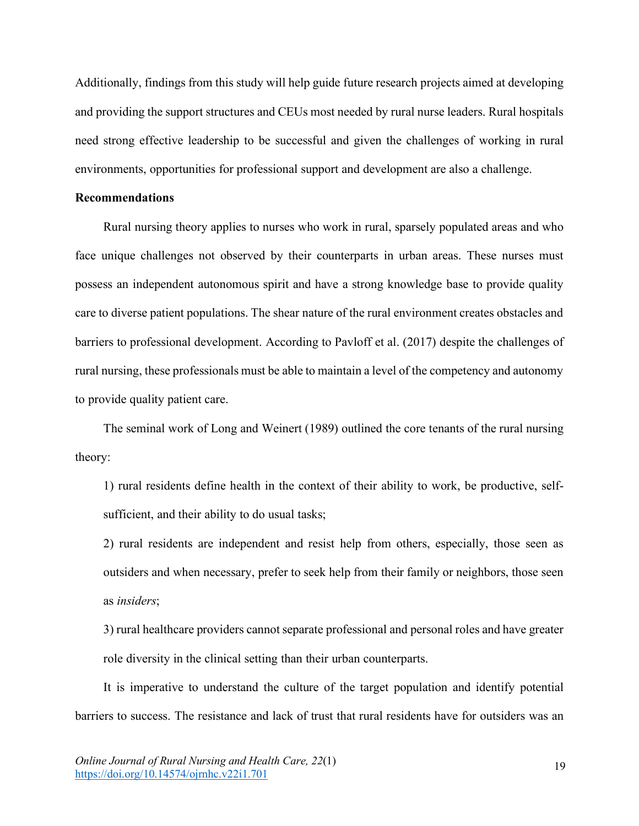Additionally, findings from this study will help guide future research projects aimed at developing and providing the support structures and CEUs most needed by rural nurse leaders. Rural hospitals need strong effective leadership to be successful and given the challenges of working in rural environments, opportunities for professional support and development are also a challenge.

# **Recommendations**

Rural nursing theory applies to nurses who work in rural, sparsely populated areas and who face unique challenges not observed by their counterparts in urban areas. These nurses must possess an independent autonomous spirit and have a strong knowledge base to provide quality care to diverse patient populations. The shear nature of the rural environment creates obstacles and barriers to professional development. According to Pavloff et al. (2017) despite the challenges of rural nursing, these professionals must be able to maintain a level of the competency and autonomy to provide quality patient care.

The seminal work of Long and Weinert (1989) outlined the core tenants of the rural nursing theory:

1) rural residents define health in the context of their ability to work, be productive, selfsufficient, and their ability to do usual tasks;

2) rural residents are independent and resist help from others, especially, those seen as outsiders and when necessary, prefer to seek help from their family or neighbors, those seen as *insiders*;

3) rural healthcare providers cannot separate professional and personal roles and have greater role diversity in the clinical setting than their urban counterparts.

It is imperative to understand the culture of the target population and identify potential barriers to success. The resistance and lack of trust that rural residents have for outsiders was an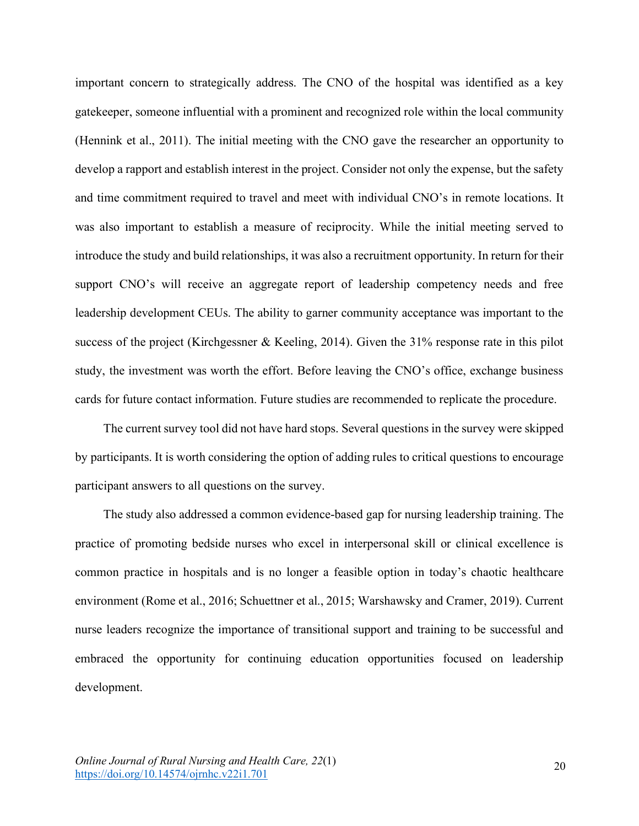important concern to strategically address. The CNO of the hospital was identified as a key gatekeeper, someone influential with a prominent and recognized role within the local community (Hennink et al., 2011). The initial meeting with the CNO gave the researcher an opportunity to develop a rapport and establish interest in the project. Consider not only the expense, but the safety and time commitment required to travel and meet with individual CNO's in remote locations. It was also important to establish a measure of reciprocity. While the initial meeting served to introduce the study and build relationships, it was also a recruitment opportunity. In return for their support CNO's will receive an aggregate report of leadership competency needs and free leadership development CEUs. The ability to garner community acceptance was important to the success of the project (Kirchgessner & Keeling, 2014). Given the 31% response rate in this pilot study, the investment was worth the effort. Before leaving the CNO's office, exchange business cards for future contact information. Future studies are recommended to replicate the procedure.

The current survey tool did not have hard stops. Several questions in the survey were skipped by participants. It is worth considering the option of adding rules to critical questions to encourage participant answers to all questions on the survey.

The study also addressed a common evidence-based gap for nursing leadership training. The practice of promoting bedside nurses who excel in interpersonal skill or clinical excellence is common practice in hospitals and is no longer a feasible option in today's chaotic healthcare environment (Rome et al., 2016; Schuettner et al., 2015; Warshawsky and Cramer, 2019). Current nurse leaders recognize the importance of transitional support and training to be successful and embraced the opportunity for continuing education opportunities focused on leadership development.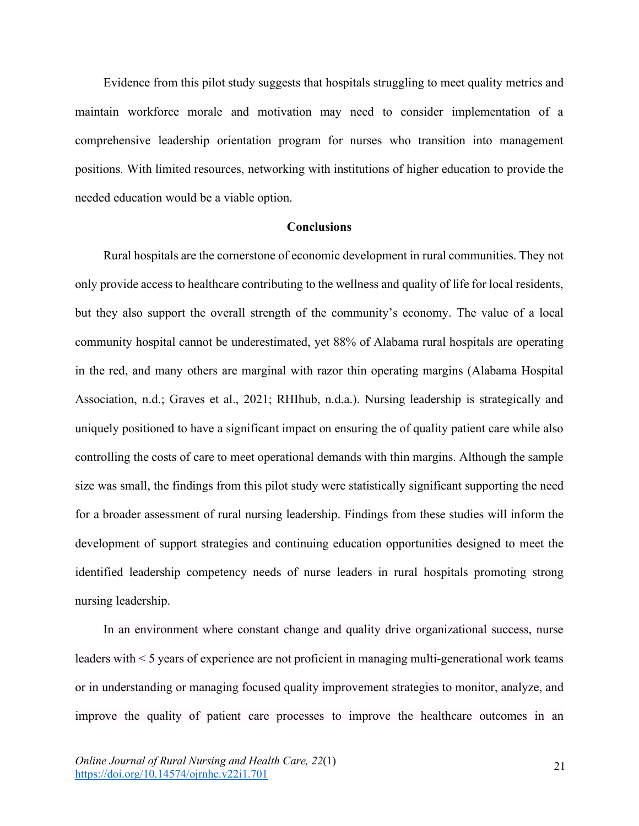Evidence from this pilot study suggests that hospitals struggling to meet quality metrics and maintain workforce morale and motivation may need to consider implementation of a comprehensive leadership orientation program for nurses who transition into management positions. With limited resources, networking with institutions of higher education to provide the needed education would be a viable option.

### **Conclusions**

Rural hospitals are the cornerstone of economic development in rural communities. They not only provide access to healthcare contributing to the wellness and quality of life for local residents, but they also support the overall strength of the community's economy. The value of a local community hospital cannot be underestimated, yet 88% of Alabama rural hospitals are operating in the red, and many others are marginal with razor thin operating margins (Alabama Hospital Association, n.d.; Graves et al., 2021; RHIhub, n.d.a.). Nursing leadership is strategically and uniquely positioned to have a significant impact on ensuring the of quality patient care while also controlling the costs of care to meet operational demands with thin margins. Although the sample size was small, the findings from this pilot study were statistically significant supporting the need for a broader assessment of rural nursing leadership. Findings from these studies will inform the development of support strategies and continuing education opportunities designed to meet the identified leadership competency needs of nurse leaders in rural hospitals promoting strong nursing leadership.

In an environment where constant change and quality drive organizational success, nurse leaders with < 5 years of experience are not proficient in managing multi-generational work teams or in understanding or managing focused quality improvement strategies to monitor, analyze, and improve the quality of patient care processes to improve the healthcare outcomes in an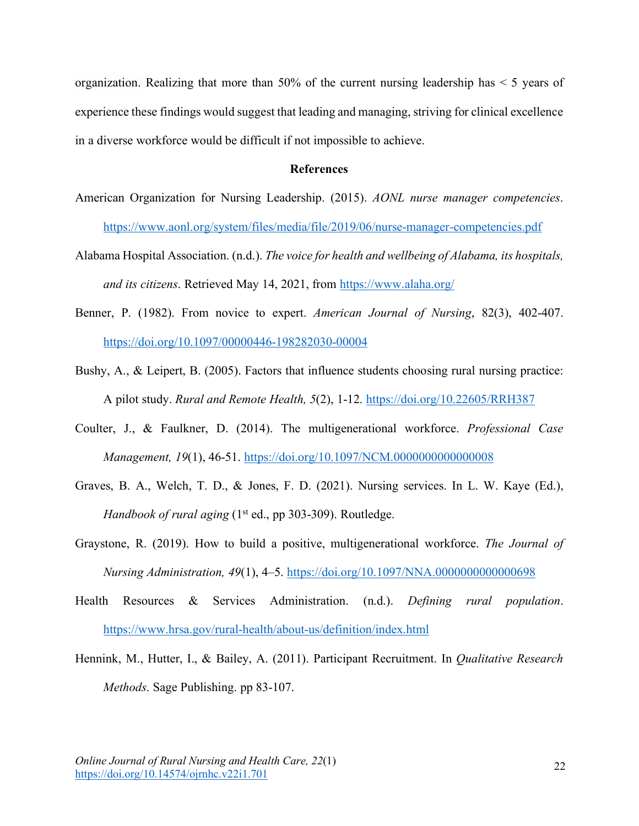organization. Realizing that more than  $50\%$  of the current nursing leadership has  $\leq 5$  years of experience these findings would suggest that leading and managing, striving for clinical excellence in a diverse workforce would be difficult if not impossible to achieve.

## **References**

- American Organization for Nursing Leadership. (2015). *AONL nurse manager competencies*. https://www.aonl.org/system/files/media/file/2019/06/nurse-manager-competencies.pdf
- Alabama Hospital Association. (n.d.). *The voice for health and wellbeing of Alabama, its hospitals, and its citizens*. Retrieved May 14, 2021, from https://www.alaha.org/
- Benner, P. (1982). From novice to expert. *American Journal of Nursing*, 82(3), 402-407. https://doi.org/10.1097/00000446-198282030-00004
- Bushy, A., & Leipert, B. (2005). Factors that influence students choosing rural nursing practice: A pilot study. *Rural and Remote Health, 5*(2), 1-12. https://doi.org/10.22605/RRH387
- Coulter, J., & Faulkner, D. (2014). The multigenerational workforce. *Professional Case Management, 19*(1), 46-51. https://doi.org/10.1097/NCM.0000000000000008
- Graves, B. A., Welch, T. D., & Jones, F. D. (2021). Nursing services. In L. W. Kaye (Ed.), *Handbook of rural aging* (1<sup>st</sup> ed., pp 303-309). Routledge.
- Graystone, R. (2019). How to build a positive, multigenerational workforce. *The Journal of Nursing Administration, 49*(1), 4–5. https://doi.org/10.1097/NNA.0000000000000698
- Health Resources & Services Administration. (n.d.). *Defining rural population*. https://www.hrsa.gov/rural-health/about-us/definition/index.html
- Hennink, M., Hutter, I., & Bailey, A. (2011). Participant Recruitment. In *Qualitative Research Methods*. Sage Publishing. pp 83-107.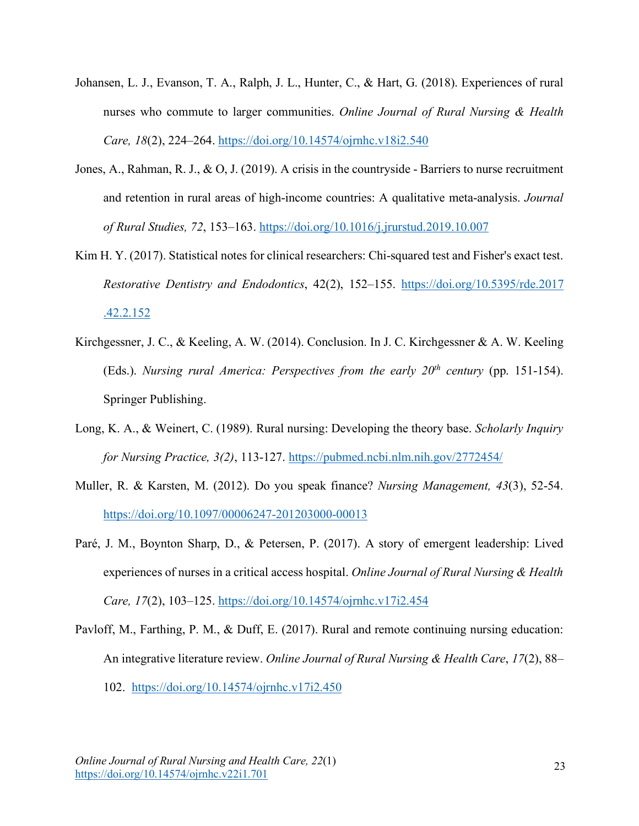- Johansen, L. J., Evanson, T. A., Ralph, J. L., Hunter, C., & Hart, G. (2018). Experiences of rural nurses who commute to larger communities. *Online Journal of Rural Nursing & Health Care, 18*(2), 224–264. https://doi.org/10.14574/ojrnhc.v18i2.540
- Jones, A., Rahman, R. J., & O, J. (2019). A crisis in the countryside Barriers to nurse recruitment and retention in rural areas of high-income countries: A qualitative meta-analysis. *Journal of Rural Studies, 72*, 153–163. https://doi.org/10.1016/j.jrurstud.2019.10.007
- Kim H. Y. (2017). Statistical notes for clinical researchers: Chi-squared test and Fisher's exact test. *Restorative Dentistry and Endodontics*, 42(2), 152–155. https://doi.org/10.5395/rde.2017 .42.2.152
- Kirchgessner, J. C., & Keeling, A. W. (2014). Conclusion. In J. C. Kirchgessner & A. W. Keeling (Eds.). *Nursing rural America: Perspectives from the early 20th century* (pp. 151-154). Springer Publishing.
- Long, K. A., & Weinert, C. (1989). Rural nursing: Developing the theory base. *Scholarly Inquiry for Nursing Practice, 3(2)*, 113-127. https://pubmed.ncbi.nlm.nih.gov/2772454/
- Muller, R. & Karsten, M. (2012). Do you speak finance? *Nursing Management, 43*(3), 52-54. https://doi.org/10.1097/00006247-201203000-00013
- Paré, J. M., Boynton Sharp, D., & Petersen, P. (2017). A story of emergent leadership: Lived experiences of nurses in a critical access hospital. *Online Journal of Rural Nursing & Health Care, 17*(2), 103–125. https://doi.org/10.14574/ojrnhc.v17i2.454
- Pavloff, M., Farthing, P. M., & Duff, E. (2017). Rural and remote continuing nursing education: An integrative literature review. *Online Journal of Rural Nursing & Health Care*, *17*(2), 88– 102. https://doi.org/10.14574/ojrnhc.v17i2.450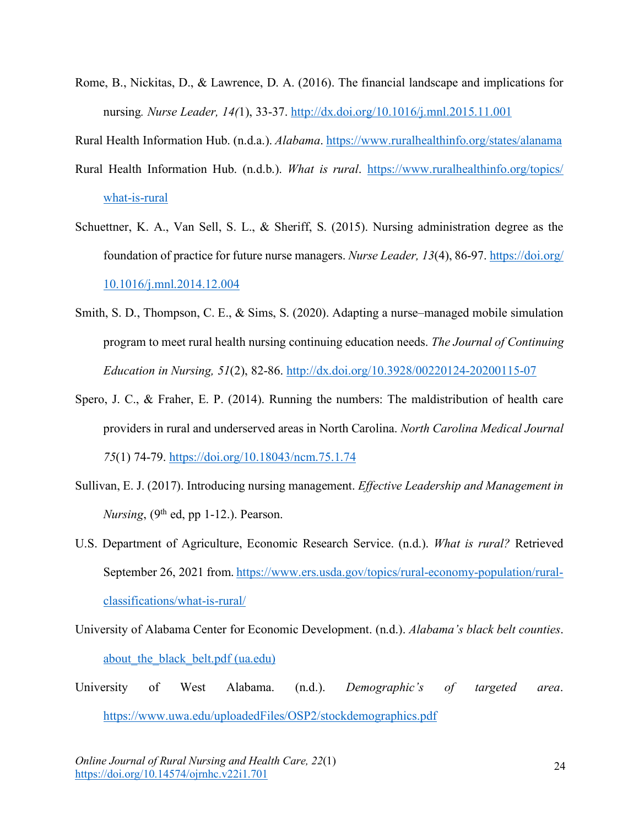Rome, B., Nickitas, D., & Lawrence, D. A. (2016). The financial landscape and implications for nursing*. Nurse Leader, 14(*1), 33-37. http://dx.doi.org/10.1016/j.mnl.2015.11.001

Rural Health Information Hub. (n.d.a.). *Alabama*. https://www.ruralhealthinfo.org/states/alanama

- Rural Health Information Hub. (n.d.b.). *What is rural*. https://www.ruralhealthinfo.org/topics/ what-is-rural
- Schuettner, K. A., Van Sell, S. L., & Sheriff, S. (2015). Nursing administration degree as the foundation of practice for future nurse managers. *Nurse Leader, 13*(4), 86-97. https://doi.org/ 10.1016/j.mnl.2014.12.004
- Smith, S. D., Thompson, C. E., & Sims, S. (2020). Adapting a nurse–managed mobile simulation program to meet rural health nursing continuing education needs. *The Journal of Continuing Education in Nursing, 51*(2), 82-86. http://dx.doi.org/10.3928/00220124-20200115-07
- Spero, J. C., & Fraher, E. P. (2014). Running the numbers: The maldistribution of health care providers in rural and underserved areas in North Carolina. *North Carolina Medical Journal 75*(1) 74-79. https://doi.org/10.18043/ncm.75.1.74
- Sullivan, E. J. (2017). Introducing nursing management. *Effective Leadership and Management in Nursing*,  $(9<sup>th</sup>$  ed, pp 1-12.). Pearson.
- U.S. Department of Agriculture, Economic Research Service. (n.d.). *What is rural?* Retrieved September 26, 2021 from. https://www.ers.usda.gov/topics/rural-economy-population/ruralclassifications/what-is-rural/
- University of Alabama Center for Economic Development. (n.d.). *Alabama's black belt counties*. about the black belt.pdf (ua.edu)
- University of West Alabama. (n.d.). *Demographic's of targeted area*. https://www.uwa.edu/uploadedFiles/OSP2/stockdemographics.pdf